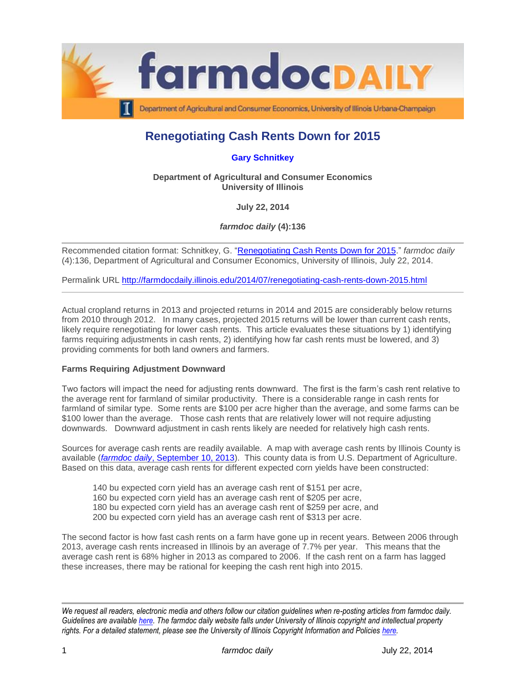

# **Renegotiating Cash Rents Down for 2015**

## **[Gary Schnitkey](http://www.farmdoc.illinois.edu/schnitkey/)**

**Department of Agricultural and Consumer Economics University of Illinois**

**July 22, 2014**

*farmdoc daily* **(4):136**

Recommended citation format: Schnitkey, G. ["Renegotiating Cash Rents Down for 2015.](http://farmdocdaily.illinois.edu/2014/07/renegotiating-cash-rents-down-2015.html)" *farmdoc daily* (4):136, Department of Agricultural and Consumer Economics, University of Illinois, July 22, 2014.

Permalink URL<http://farmdocdaily.illinois.edu/2014/07/renegotiating-cash-rents-down-2015.html>

Actual cropland returns in 2013 and projected returns in 2014 and 2015 are considerably below returns from 2010 through 2012. In many cases, projected 2015 returns will be lower than current cash rents, likely require renegotiating for lower cash rents. This article evaluates these situations by 1) identifying farms requiring adjustments in cash rents, 2) identifying how far cash rents must be lowered, and 3) providing comments for both land owners and farmers.

#### **Farms Requiring Adjustment Downward**

Two factors will impact the need for adjusting rents downward. The first is the farm's cash rent relative to the average rent for farmland of similar productivity. There is a considerable range in cash rents for farmland of similar type. Some rents are \$100 per acre higher than the average, and some farms can be \$100 lower than the average. Those cash rents that are relatively lower will not require adjusting downwards. Downward adjustment in cash rents likely are needed for relatively high cash rents.

Sources for average cash rents are readily available. A map with average cash rents by Illinois County is available (*farmdoc daily*[, September 10, 2013\)](http://farmdocdaily.illinois.edu/2013/09/2013-county-cash-rents-levels-2014.html). This county data is from U.S. Department of Agriculture. Based on this data, average cash rents for different expected corn yields have been constructed:

- 140 bu expected corn yield has an average cash rent of \$151 per acre,
- 160 bu expected corn yield has an average cash rent of \$205 per acre,
- 180 bu expected corn yield has an average cash rent of \$259 per acre, and
- 200 bu expected corn yield has an average cash rent of \$313 per acre.

The second factor is how fast cash rents on a farm have gone up in recent years. Between 2006 through 2013, average cash rents increased in Illinois by an average of 7.7% per year. This means that the average cash rent is 68% higher in 2013 as compared to 2006. If the cash rent on a farm has lagged these increases, there may be rational for keeping the cash rent high into 2015.

*We request all readers, electronic media and others follow our citation guidelines when re-posting articles from farmdoc daily. Guidelines are available [here.](http://farmdocdaily.illinois.edu/citationguide.html) The farmdoc daily website falls under University of Illinois copyright and intellectual property rights. For a detailed statement, please see the University of Illinois Copyright Information and Policies [here.](http://www.cio.illinois.edu/policies/copyright/)*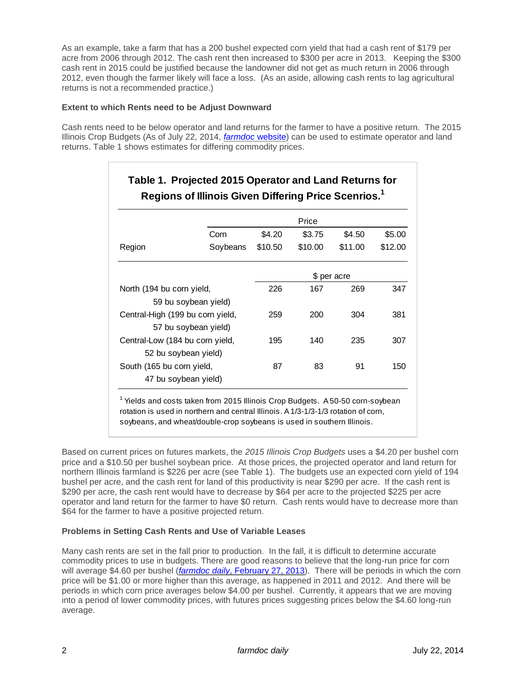As an example, take a farm that has a 200 bushel expected corn yield that had a cash rent of \$179 per acre from 2006 through 2012. The cash rent then increased to \$300 per acre in 2013. Keeping the \$300 cash rent in 2015 could be justified because the landowner did not get as much return in 2006 through 2012, even though the farmer likely will face a loss. (As an aside, allowing cash rents to lag agricultural returns is not a recommended practice.)

## **Extent to which Rents need to be Adjust Downward**

Cash rents need to be below operator and land returns for the farmer to have a positive return. The 2015 Illinois Crop Budgets (As of July 22, 2014, *[farmdoc](http://www.farmdoc.illinois.edu/manage/2015_crop_budgets.pdf)* website) can be used to estimate operator and land returns. Table 1 shows estimates for differing commodity prices.

**Table 1. Projected 2015 Operator and Land Returns for** 

|                                  | Price                |             |         |         |         |
|----------------------------------|----------------------|-------------|---------|---------|---------|
|                                  | Corn                 | \$4.20      | \$3.75  | \$4.50  | \$5.00  |
| Region                           | Soybeans             | \$10.50     | \$10.00 | \$11.00 | \$12.00 |
|                                  |                      | \$ per acre |         |         |         |
| North (194 bu corn yield,        |                      | 226         | 167     | 269     | 347     |
|                                  | 59 bu soybean yield) |             |         |         |         |
| Central-High (199 bu corn yield, |                      | 259         | 200     | 304     | 381     |
|                                  | 57 bu soybean yield) |             |         |         |         |
| Central-Low (184 bu corn yield,  |                      | 195         | 140     | 235     | 307     |
|                                  | 52 bu soybean yield) |             |         |         |         |
| South (165 bu corn yield,        |                      | 87          | 83      | 91      | 150     |
| 47 bu soybean yield)             |                      |             |         |         |         |

<sup>1</sup> Yields and costs taken from 2015 Illinois Crop Budgets. A 50-50 corn-soybean rotation is used in northern and central Illinois. A 1/3-1/3-1/3 rotation of corn, soybeans, and wheat/double-crop soybeans is used in southern Illinois.

Based on current prices on futures markets, the *2015 Illinois Crop Budgets* uses a \$4.20 per bushel corn price and a \$10.50 per bushel soybean price. At those prices, the projected operator and land return for northern Illinois farmland is \$226 per acre (see Table 1). The budgets use an expected corn yield of 194 bushel per acre, and the cash rent for land of this productivity is near \$290 per acre. If the cash rent is \$290 per acre, the cash rent would have to decrease by \$64 per acre to the projected \$225 per acre operator and land return for the farmer to have \$0 return. Cash rents would have to decrease more than \$64 for the farmer to have a positive projected return.

#### **Problems in Setting Cash Rents and Use of Variable Leases**

Many cash rents are set in the fall prior to production. In the fall, it is difficult to determine accurate commodity prices to use in budgets. There are good reasons to believe that the long-run price for corn will average \$4.60 per bushel (*farmdoc daily*[, February 27, 2013\)](http://farmdocdaily.illinois.edu/2013/02/new-era-crop-prices-five-year-review.html). There will be periods in which the corn price will be \$1.00 or more higher than this average, as happened in 2011 and 2012. And there will be periods in which corn price averages below \$4.00 per bushel. Currently, it appears that we are moving into a period of lower commodity prices, with futures prices suggesting prices below the \$4.60 long-run average.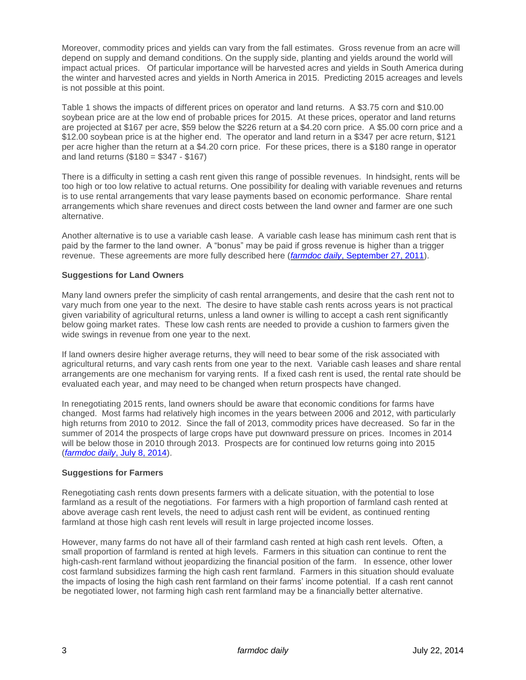Moreover, commodity prices and yields can vary from the fall estimates. Gross revenue from an acre will depend on supply and demand conditions. On the supply side, planting and yields around the world will impact actual prices. Of particular importance will be harvested acres and yields in South America during the winter and harvested acres and yields in North America in 2015. Predicting 2015 acreages and levels is not possible at this point.

Table 1 shows the impacts of different prices on operator and land returns. A \$3.75 corn and \$10.00 soybean price are at the low end of probable prices for 2015. At these prices, operator and land returns are projected at \$167 per acre, \$59 below the \$226 return at a \$4.20 corn price. A \$5.00 corn price and a \$12.00 soybean price is at the higher end. The operator and land return in a \$347 per acre return, \$121 per acre higher than the return at a \$4.20 corn price. For these prices, there is a \$180 range in operator and land returns (\$180 = \$347 - \$167)

There is a difficulty in setting a cash rent given this range of possible revenues. In hindsight, rents will be too high or too low relative to actual returns. One possibility for dealing with variable revenues and returns is to use rental arrangements that vary lease payments based on economic performance. Share rental arrangements which share revenues and direct costs between the land owner and farmer are one such alternative.

Another alternative is to use a variable cash lease. A variable cash lease has minimum cash rent that is paid by the farmer to the land owner. A "bonus" may be paid if gross revenue is higher than a trigger revenue. These agreements are more fully described here (*farmdoc daily*[, September 27, 2011\)](http://farmdocdaily.illinois.edu/2011/09/cash-rent-with-bonus-leasing-a-1.html).

### **Suggestions for Land Owners**

Many land owners prefer the simplicity of cash rental arrangements, and desire that the cash rent not to vary much from one year to the next. The desire to have stable cash rents across years is not practical given variability of agricultural returns, unless a land owner is willing to accept a cash rent significantly below going market rates. These low cash rents are needed to provide a cushion to farmers given the wide swings in revenue from one year to the next.

If land owners desire higher average returns, they will need to bear some of the risk associated with agricultural returns, and vary cash rents from one year to the next. Variable cash leases and share rental arrangements are one mechanism for varying rents. If a fixed cash rent is used, the rental rate should be evaluated each year, and may need to be changed when return prospects have changed.

In renegotiating 2015 rents, land owners should be aware that economic conditions for farms have changed. Most farms had relatively high incomes in the years between 2006 and 2012, with particularly high returns from 2010 to 2012. Since the fall of 2013, commodity prices have decreased. So far in the summer of 2014 the prospects of large crops have put downward pressure on prices. Incomes in 2014 will be below those in 2010 through 2013. Prospects are for continued low returns going into 2015 (*farmdoc daily*[, July 8, 2014\)](http://farmdocdaily.illinois.edu/2014/07/release-of-2015-crop-budgets.html).

#### **Suggestions for Farmers**

Renegotiating cash rents down presents farmers with a delicate situation, with the potential to lose farmland as a result of the negotiations. For farmers with a high proportion of farmland cash rented at above average cash rent levels, the need to adjust cash rent will be evident, as continued renting farmland at those high cash rent levels will result in large projected income losses.

However, many farms do not have all of their farmland cash rented at high cash rent levels. Often, a small proportion of farmland is rented at high levels. Farmers in this situation can continue to rent the high-cash-rent farmland without jeopardizing the financial position of the farm. In essence, other lower cost farmland subsidizes farming the high cash rent farmland. Farmers in this situation should evaluate the impacts of losing the high cash rent farmland on their farms' income potential. If a cash rent cannot be negotiated lower, not farming high cash rent farmland may be a financially better alternative.